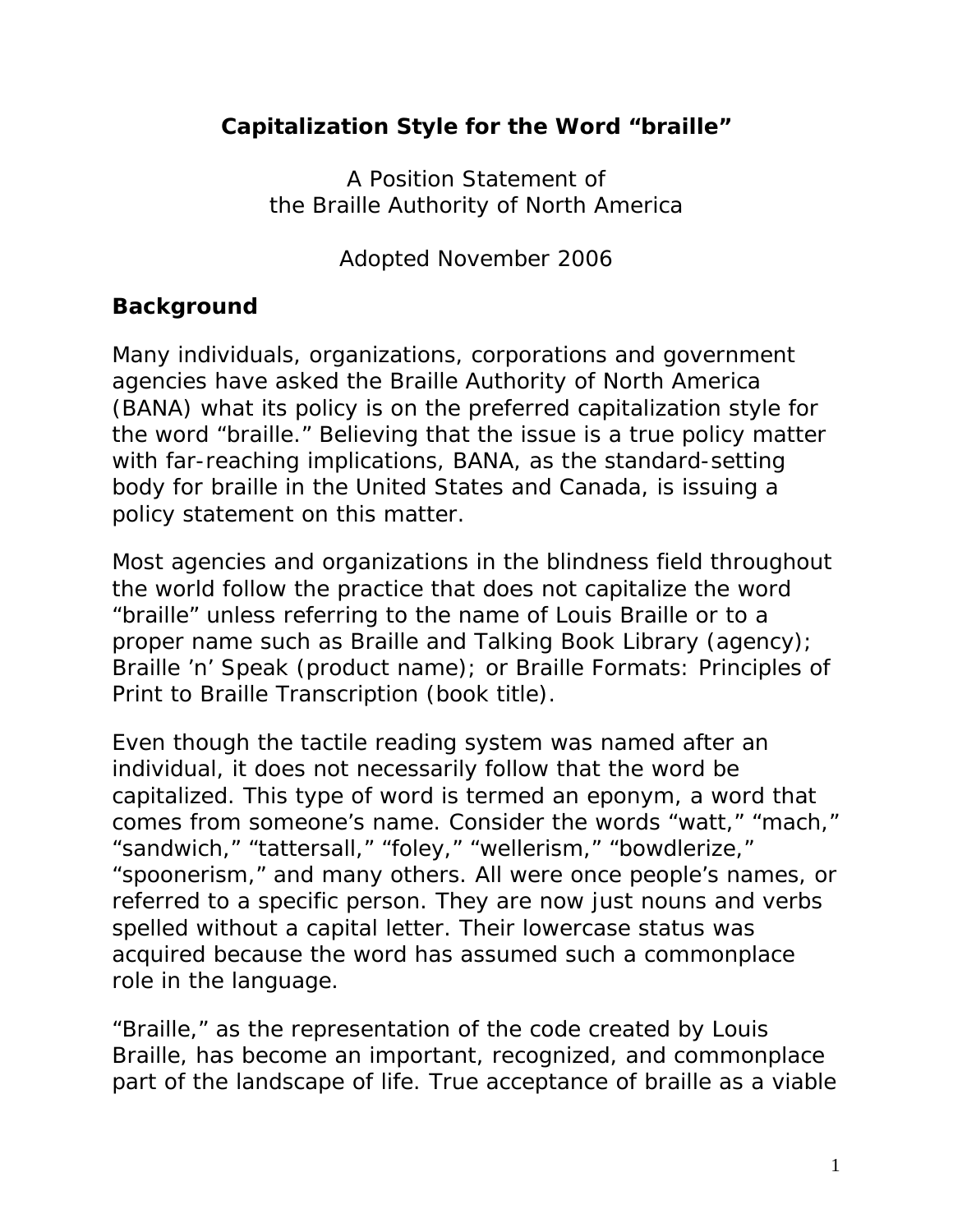## **Capitalization Style for the Word "braille"**

A Position Statement of the Braille Authority of North America

Adopted November 2006

## *Background*

Many individuals, organizations, corporations and government agencies have asked the Braille Authority of North America (BANA) what its policy is on the preferred capitalization style for the word "braille." Believing that the issue is a true policy matter with far-reaching implications, BANA, as the standard-setting body for braille in the United States and Canada, is issuing a policy statement on this matter.

Most agencies and organizations in the blindness field throughout the world follow the practice that does not capitalize the word "braille" unless referring to the name of Louis Braille or to a proper name such as Braille and Talking Book Library (agency); Braille 'n' Speak (product name); or *Braille Formats: Principles of Print to Braille Transcription* (book title).

Even though the tactile reading system was named after an individual, it does not necessarily follow that the word be capitalized. This type of word is termed an eponym, a word that comes from someone's name. Consider the words "watt," "mach," "sandwich," "tattersall," "foley," "wellerism," "bowdlerize," "spoonerism," and many others. All were once people's names, or referred to a specific person. They are now just nouns and verbs spelled without a capital letter. Their lowercase status was acquired because the word has assumed such a commonplace role in the language.

"Braille," as the representation of the code created by Louis Braille, has become an important, recognized, and commonplace part of the landscape of life. True acceptance of braille as a viable